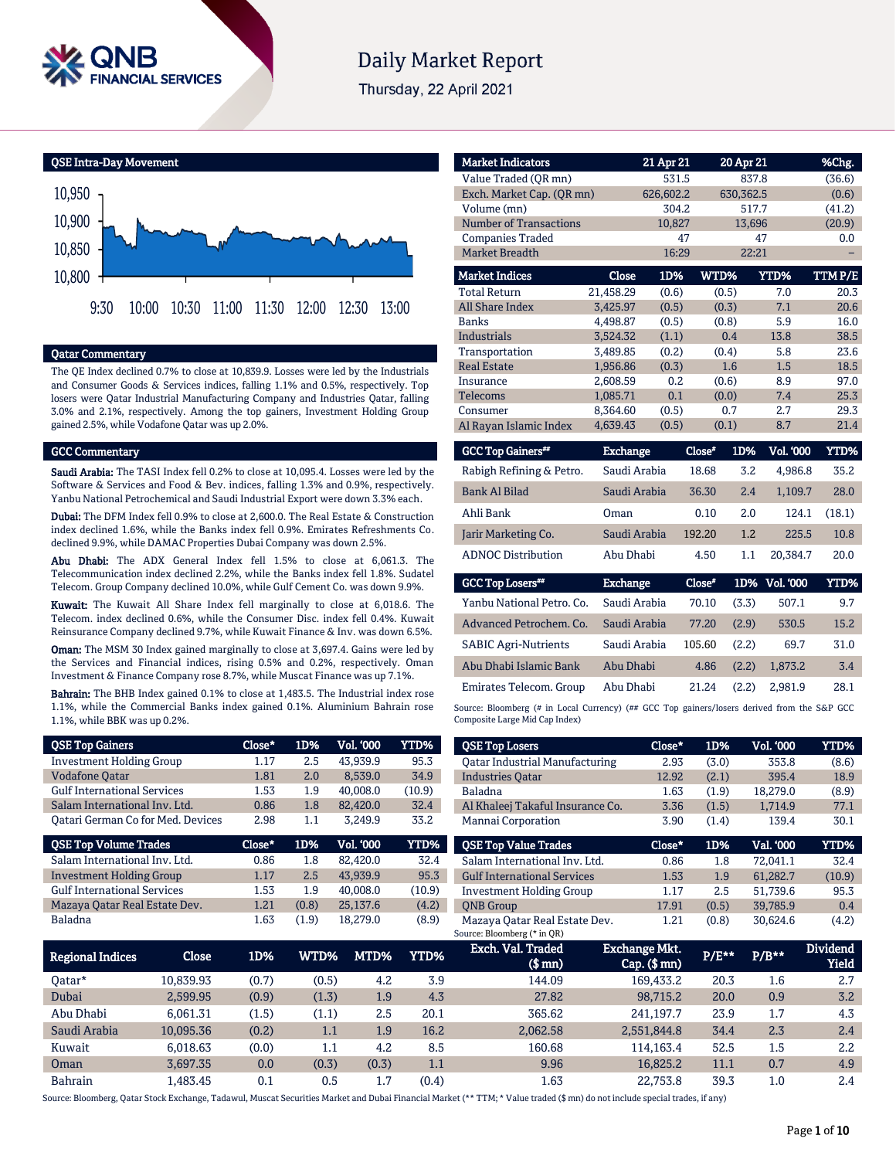

# **Daily Market Report**

Thursday, 22 April 2021

QSE Intra-Day Movement 10,800 10,850 10,900 10,950 9:30 10:00 10:30 11:00 11:30 12:00 12:30 13:00

#### Qatar Commentary

The QE Index declined 0.7% to close at 10,839.9. Losses were led by the Industrials and Consumer Goods & Services indices, falling 1.1% and 0.5%, respectively. Top losers were Qatar Industrial Manufacturing Company and Industries Qatar, falling 3.0% and 2.1%, respectively. Among the top gainers, Investment Holding Group gained 2.5%, while Vodafone Qatar was up 2.0%.

#### GCC Commentary

Saudi Arabia: The TASI Index fell 0.2% to close at 10,095.4. Losses were led by the Software & Services and Food & Bev. indices, falling 1.3% and 0.9%, respectively. Yanbu National Petrochemical and Saudi Industrial Export were down 3.3% each.

Dubai: The DFM Index fell 0.9% to close at 2,600.0. The Real Estate & Construction index declined 1.6%, while the Banks index fell 0.9%. Emirates Refreshments Co. declined 9.9%, while DAMAC Properties Dubai Company was down 2.5%.

Abu Dhabi: The ADX General Index fell 1.5% to close at 6,061.3. The Telecommunication index declined 2.2%, while the Banks index fell 1.8%. Sudatel Telecom. Group Company declined 10.0%, while Gulf Cement Co. was down 9.9%.

Kuwait: The Kuwait All Share Index fell marginally to close at 6,018.6. The Telecom. index declined 0.6%, while the Consumer Disc. index fell 0.4%. Kuwait Reinsurance Company declined 9.7%, while Kuwait Finance & Inv. was down 6.5%.

**Oman:** The MSM 30 Index gained marginally to close at 3,697.4. Gains were led by the Services and Financial indices, rising 0.5% and 0.2%, respectively. Oman Investment & Finance Company rose 8.7%, while Muscat Finance was up 7.1%.

Bahrain: The BHB Index gained 0.1% to close at 1,483.5. The Industrial index rose 1.1%, while the Commercial Banks index gained 0.1%. Aluminium Bahrain rose 1.1%, while BBK was up 0.2%.

| <b>QSE Top Gainers</b>                   | Close* | 1D%   | <b>Vol. '000</b> | <b>YTD%</b> |
|------------------------------------------|--------|-------|------------------|-------------|
| <b>Investment Holding Group</b>          | 1.17   | 2.5   | 43.939.9         | 95.3        |
| <b>Vodafone Qatar</b>                    | 1.81   | 2.0   | 8,539.0          | 34.9        |
| <b>Gulf International Services</b>       | 1.53   | 1.9   | 40.008.0         | (10.9)      |
| Salam International Inv. Ltd.            | 0.86   | 1.8   | 82,420.0         | 32.4        |
| <b>Qatari German Co for Med. Devices</b> | 2.98   | 1.1   | 3.249.9          | 33.2        |
|                                          |        |       |                  |             |
| <b>QSE Top Volume Trades</b>             | Close* | 1D%   | <b>Vol. '000</b> | YTD%        |
| Salam International Inv. Ltd.            | 0.86   | 1.8   | 82.420.0         | 32.4        |
| <b>Investment Holding Group</b>          | 1.17   | 2.5   | 43,939.9         | 95.3        |
| <b>Gulf International Services</b>       | 1.53   | 1.9   | 40.008.0         | (10.9)      |
| Mazaya Qatar Real Estate Dev.            | 1.21   | (0.8) | 25,137.6         | (4.2)       |

| <b>Market Indicators</b>      |                 | 21 Apr 21 |        | 20 Apr 21 |               | %Chg.       |
|-------------------------------|-----------------|-----------|--------|-----------|---------------|-------------|
| Value Traded (QR mn)          |                 | 531.5     |        | 837.8     |               | (36.6)      |
| Exch. Market Cap. (OR mn)     |                 | 626,602.2 |        | 630,362.5 |               | (0.6)       |
| Volume (mn)                   |                 | 304.2     |        | 517.7     |               | (41.2)      |
| <b>Number of Transactions</b> |                 | 10,827    |        | 13,696    |               | (20.9)      |
| <b>Companies Traded</b>       |                 | 47        |        |           | 47            | 0.0         |
| Market Breadth                |                 | 16:29     |        | 22:21     |               |             |
| <b>Market Indices</b>         | Close           | 1D%       | WTD%   |           | <b>YTD%</b>   | TTMP/E      |
| <b>Total Return</b>           | 21,458.29       | (0.6)     |        | (0.5)     | 7.0           | 20.3        |
| <b>All Share Index</b>        | 3,425.97        | (0.5)     |        | (0.3)     | 7.1           | 20.6        |
| <b>Banks</b>                  | 4,498.87        | (0.5)     |        | (0.8)     | 5.9           | 16.0        |
| <b>Industrials</b>            | 3,524.32        | (1.1)     |        | 0.4       | 13.8          | 38.5        |
| Transportation                | 3,489.85        | (0.2)     |        | (0.4)     | 5.8           | 23.6        |
| <b>Real Estate</b>            | 1,956.86        | (0.3)     |        | 1.6       | 1.5           | 18.5        |
| Insurance                     | 2,608.59        | 0.2       |        | (0.6)     | 8.9           | 97.0        |
| <b>Telecoms</b>               | 1,085.71        | 0.1       |        | (0.0)     | 7.4           | 25.3        |
| Consumer                      | 8,364.60        | (0.5)     |        | 0.7       | 2.7           | 29.3        |
| Al Rayan Islamic Index        | 4,639.43        | (0.5)     |        | (0.1)     | 8.7           | 21.4        |
| <b>GCC Top Gainers**</b>      | <b>Exchange</b> |           | Close* | 1D%       | Vol. '000     | YTD%        |
| Rabigh Refining & Petro.      | Saudi Arabia    |           | 18.68  | 3.2       | 4,986.8       | 35.2        |
| <b>Bank Al Bilad</b>          | Saudi Arabia    |           | 36.30  | 2.4       | 1,109.7       | 28.0        |
| Ahli Bank                     | Oman            |           | 0.10   | 2.0       | 124.1         | (18.1)      |
| Jarir Marketing Co.           | Saudi Arabia    |           | 192.20 | 1.2       | 225.5         | 10.8        |
| <b>ADNOC Distribution</b>     | Abu Dhabi       |           | 4.50   | 1.1       | 20,384.7      | 20.0        |
| <b>GCC Top Losers**</b>       | <b>Exchange</b> |           | Close* |           | 1D% Vol. '000 | <b>YTD%</b> |

| <b>GCC TOD FORGIS</b>       | <b>Exchange</b> | <b>LIOSE"</b> |       | <b>ID% VOLUU</b> | 1 I D'70 |
|-----------------------------|-----------------|---------------|-------|------------------|----------|
| Yanbu National Petro. Co.   | Saudi Arabia    | 70.10         | (3.3) | 507.1            | 9.7      |
| Advanced Petrochem. Co.     | Saudi Arabia    | 77.20         | (2.9) | 530.5            | 15.2     |
| <b>SABIC Agri-Nutrients</b> | Saudi Arabia    | 105.60        | (2.2) | 69.7             | 31.0     |
| Abu Dhabi Islamic Bank      | Abu Dhabi       | 4.86          | (2.2) | 1.873.2          | 3.4      |
| Emirates Telecom. Group     | Abu Dhabi       | 21.24         | (2.2) | 2.981.9          | 28.1     |

Source: Bloomberg (# in Local Currency) (## GCC Top gainers/losers derived from the S&P GCC Composite Large Mid Cap Index)

| <b>QSE Top Losers</b>              | Close* | 1D%   | <b>Vol. '000</b> | <b>YTD%</b> |
|------------------------------------|--------|-------|------------------|-------------|
| Oatar Industrial Manufacturing     | 2.93   | (3.0) | 353.8            | (8.6)       |
| <b>Industries Oatar</b>            | 12.92  | (2.1) | 395.4            | 18.9        |
| Baladna                            | 1.63   | (1.9) | 18.279.0         | (8.9)       |
| Al Khaleej Takaful Insurance Co.   | 3.36   | (1.5) | 1.714.9          | 77.1        |
| Mannai Corporation                 | 3.90   | (1.4) | 139.4            | 30.1        |
|                                    |        |       |                  |             |
| <b>OSE Top Value Trades</b>        | Close* | 1D%   | Val. '000        | <b>YTD%</b> |
| Salam International Inv. Ltd.      | 0.86   | 1.8   | 72.041.1         | 32.4        |
| <b>Gulf International Services</b> | 1.53   | 1.9   | 61,282.7         | (10.9)      |
| <b>Investment Holding Group</b>    | 1.17   | 2.5   | 51.739.6         | 95.3        |
| <b>ONB</b> Group                   | 17.91  | (0.5) | 39.785.9         | 0.4         |

| Regional Indices | Close     | 1D%   | WTD%'   | MTD%  | YTD%  | Exch. Val. Traded<br>$$$ mn $)$ | Exchange Mkt.<br>$Cap.$ (\$ mn) | P/E** | $P/B***$ | <b>Dividend</b><br>Yield |
|------------------|-----------|-------|---------|-------|-------|---------------------------------|---------------------------------|-------|----------|--------------------------|
| 0atar*           | 10.839.93 | (0.7) | (0.5)   | 4.2   | 3.9   | 144.09                          | 169.433.2                       | 20.3  | 1.6      | 2.7                      |
| Dubai            | 2.599.95  | (0.9) | (1.3)   | 1.9   | 4.3   | 27.82                           | 98.715.2                        | 20.0  | 0.9      | 3.2                      |
| Abu Dhabi        | 6.061.31  | (1.5) | (1.1)   | 2.5   | 20.1  | 365.62                          | 241,197.7                       | 23.9  | 1.7      | 4.3                      |
| Saudi Arabia     | 10.095.36 | (0.2) | $1.1\,$ | 1.9   | 16.2  | 2.062.58                        | 2.551.844.8                     | 34.4  | 2.3      | 2.4                      |
| Kuwait           | 6.018.63  | (0.0) | 1.1     | 4.2   | 8.5   | 160.68                          | 114.163.4                       | 52.5  | 1.5      | 2.2                      |
| Oman             | 3.697.35  | 0.0   | (0.3)   | (0.3) | 1.1   | 9.96                            | 16.825.2                        | 11.1  | 0.7      | 4.9                      |
| Bahrain          | .483.45   | 0.1   | 0.5     | 1.7   | (0.4) | 1.63                            | 22.753.8                        | 39.3  | 1.0      | 2.4                      |

Source: Bloomberg, Qatar Stock Exchange, Tadawul, Muscat Securities Market and Dubai Financial Market (\*\* TTM; \* Value traded (\$ mn) do not include special trades, if any)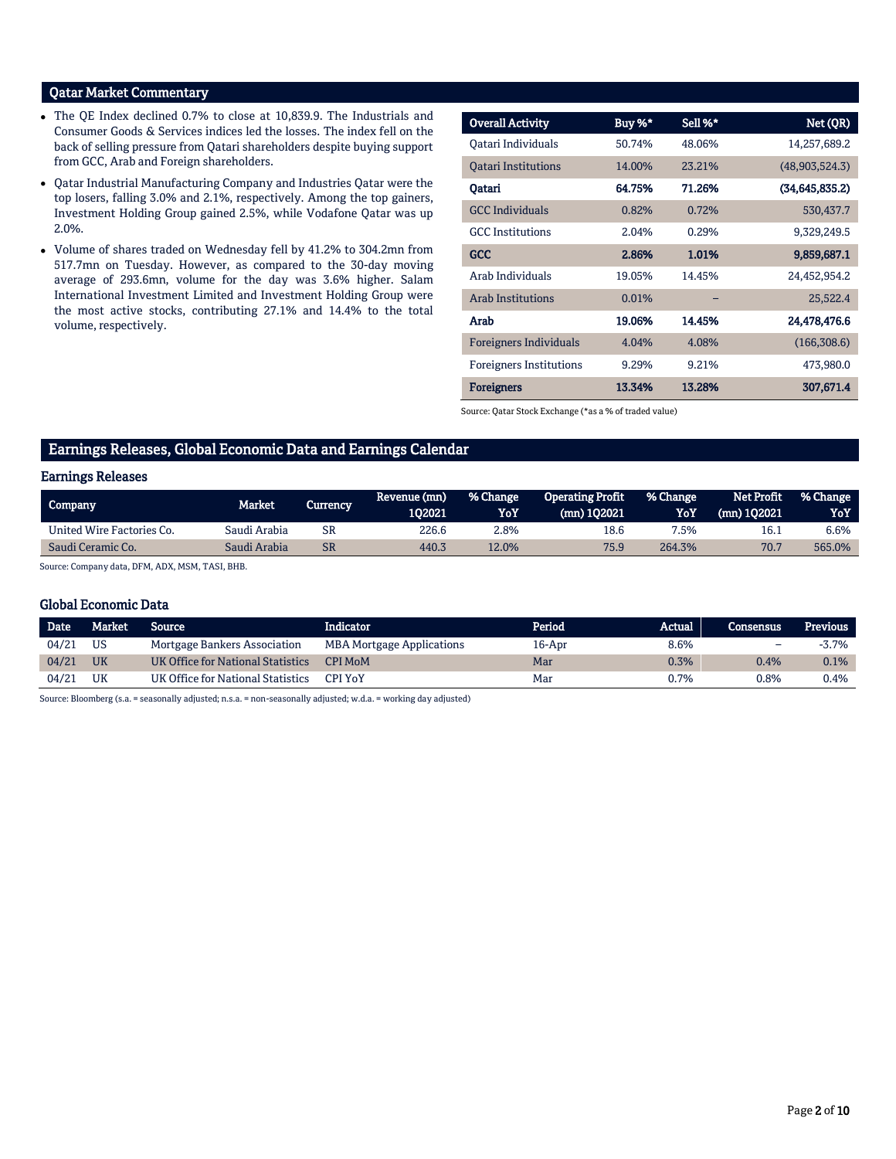# Qatar Market Commentary

- The QE Index declined 0.7% to close at 10,839.9. The Industrials and Consumer Goods & Services indices led the losses. The index fell on the back of selling pressure from Qatari shareholders despite buying support from GCC, Arab and Foreign shareholders.
- Qatar Industrial Manufacturing Company and Industries Qatar were the top losers, falling 3.0% and 2.1%, respectively. Among the top gainers, Investment Holding Group gained 2.5%, while Vodafone Qatar was up 2.0%.
- Volume of shares traded on Wednesday fell by 41.2% to 304.2mn from 517.7mn on Tuesday. However, as compared to the 30-day moving average of 293.6mn, volume for the day was 3.6% higher. Salam International Investment Limited and Investment Holding Group were the most active stocks, contributing 27.1% and 14.4% to the total volume, respectively.

| <b>Overall Activity</b>        | Buy %* | Sell %* | Net (QR)         |
|--------------------------------|--------|---------|------------------|
| Oatari Individuals             | 50.74% | 48.06%  | 14,257,689.2     |
| <b>Oatari Institutions</b>     | 14.00% | 23.21%  | (48,903,524.3)   |
| Qatari                         | 64.75% | 71.26%  | (34, 645, 835.2) |
| <b>GCC</b> Individuals         | 0.82%  | 0.72%   | 530,437.7        |
| <b>GCC</b> Institutions        | 2.04%  | 0.29%   | 9,329,249.5      |
| <b>GCC</b>                     | 2.86%  | 1.01%   | 9,859,687.1      |
| Arab Individuals               | 19.05% | 14.45%  | 24,452,954.2     |
| Arab Institutions              | 0.01%  |         | 25,522.4         |
| Arab                           | 19.06% | 14.45%  | 24,478,476.6     |
| <b>Foreigners Individuals</b>  | 4.04%  | 4.08%   | (166, 308.6)     |
| <b>Foreigners Institutions</b> | 9.29%  | 9.21%   | 473,980.0        |
| <b>Foreigners</b>              | 13.34% | 13.28%  | 307,671.4        |

Source: Qatar Stock Exchange (\*as a % of traded value)

# Earnings Releases, Global Economic Data and Earnings Calendar

#### Earnings Releases

| Company                   | Market       | Currency | Revenue (mn) | % Change | <b>Operating Profit</b> | % Change | Net Profit  | <b>1% Change</b> |
|---------------------------|--------------|----------|--------------|----------|-------------------------|----------|-------------|------------------|
|                           |              |          | 102021       | YoY      | (mn) 102021             | YoY      | (mn) 102021 | YoY              |
| United Wire Factories Co. | Saudi Arabia | SR       | 226.6        | 2.8%     | 18.6                    | 7.5%     | 16.1        | 6.6%             |
| Saudi Ceramic Co.         | Saudi Arabia | SR       | 440.3        | 12.0%    | 75.9                    | 264.3%   | 70.7        | 565.0%           |

Source: Company data, DFM, ADX, MSM, TASI, BHB.

#### Global Economic Data

| <b>Date</b> | Market    | <b>Source</b>                     | Indicator                        | Period | Actual | <b>Consensus</b>         | <b>Previous</b> |
|-------------|-----------|-----------------------------------|----------------------------------|--------|--------|--------------------------|-----------------|
| 04/21       | US        | Mortgage Bankers Association      | <b>MBA Mortgage Applications</b> | 16-Apr | 8.6%   | $\overline{\phantom{0}}$ | -3.7%           |
| 04/21       | <b>UK</b> | UK Office for National Statistics | <b>CPI MoM</b>                   | Mar    | 0.3%   | $0.4\%$                  | 0.1%            |
| 04/21       | UK        | UK Office for National Statistics | <b>CPI YoY</b>                   | Mar    | 0.7%   | 0.8%                     | 0.4%            |
|             |           |                                   |                                  |        |        |                          |                 |

Source: Bloomberg (s.a. = seasonally adjusted; n.s.a. = non-seasonally adjusted; w.d.a. = working day adjusted)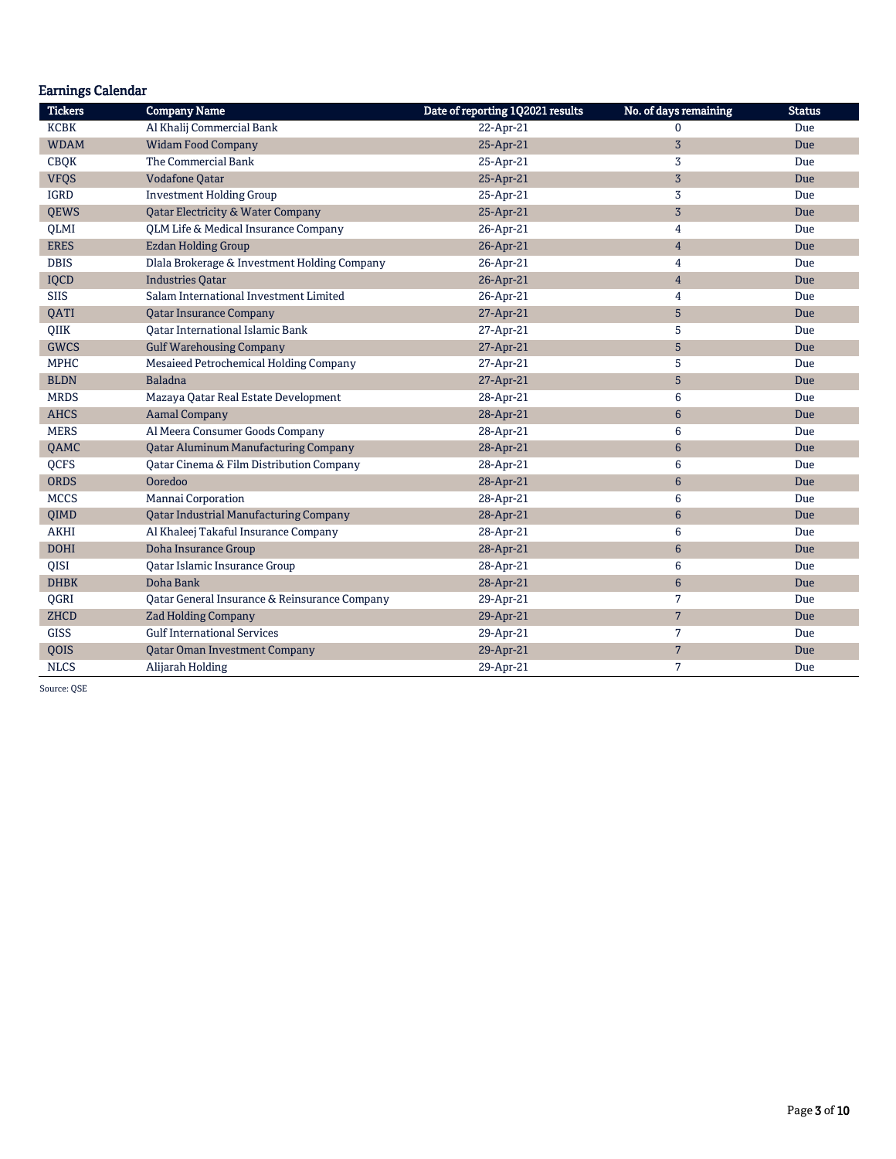| <b>Earnings Calendar</b> |                                               |                                  |                       |               |
|--------------------------|-----------------------------------------------|----------------------------------|-----------------------|---------------|
| <b>Tickers</b>           | <b>Company Name</b>                           | Date of reporting 1Q2021 results | No. of days remaining | <b>Status</b> |
| <b>KCBK</b>              | Al Khalij Commercial Bank                     | 22-Apr-21                        | $\mathbf{0}$          | Due           |
| <b>WDAM</b>              | <b>Widam Food Company</b>                     | 25-Apr-21                        | $\overline{3}$        | Due           |
| <b>CBQK</b>              | The Commercial Bank                           | 25-Apr-21                        | 3                     | Due           |
| <b>VFQS</b>              | <b>Vodafone Oatar</b>                         | 25-Apr-21                        | $\overline{3}$        | Due           |
| <b>IGRD</b>              | <b>Investment Holding Group</b>               | 25-Apr-21                        | 3                     | Due           |
| <b>QEWS</b>              | <b>Qatar Electricity &amp; Water Company</b>  | 25-Apr-21                        | $\overline{3}$        | Due           |
| <b>QLMI</b>              | QLM Life & Medical Insurance Company          | 26-Apr-21                        | 4                     | Due           |
| <b>ERES</b>              | <b>Ezdan Holding Group</b>                    | 26-Apr-21                        | $\overline{4}$        | Due           |
| <b>DBIS</b>              | Dlala Brokerage & Investment Holding Company  | 26-Apr-21                        | 4                     | Due           |
| IQCD                     | <b>Industries Oatar</b>                       | 26-Apr-21                        | $\overline{4}$        | Due           |
| <b>SIIS</b>              | Salam International Investment Limited        | 26-Apr-21                        | 4                     | Due           |
| QATI                     | <b>Qatar Insurance Company</b>                | 27-Apr-21                        | 5                     | Due           |
| OIIK                     | <b>Oatar International Islamic Bank</b>       | 27-Apr-21                        | 5                     | Due           |
| <b>GWCS</b>              | <b>Gulf Warehousing Company</b>               | 27-Apr-21                        | 5                     | Due           |
| <b>MPHC</b>              | Mesaieed Petrochemical Holding Company        | 27-Apr-21                        | 5                     | Due           |
| <b>BLDN</b>              | <b>Baladna</b>                                | 27-Apr-21                        | 5                     | Due           |
| <b>MRDS</b>              | Mazaya Qatar Real Estate Development          | 28-Apr-21                        | 6                     | Due           |
| <b>AHCS</b>              | <b>Aamal Company</b>                          | 28-Apr-21                        | $6\phantom{1}$        | Due           |
| <b>MERS</b>              | Al Meera Consumer Goods Company               | 28-Apr-21                        | 6                     | Due           |
| QAMC                     | <b>Qatar Aluminum Manufacturing Company</b>   | 28-Apr-21                        | $6\phantom{1}$        | Due           |
| QCFS                     | Qatar Cinema & Film Distribution Company      | 28-Apr-21                        | 6                     | Due           |
| <b>ORDS</b>              | Ooredoo                                       | 28-Apr-21                        | 6                     | Due           |
| <b>MCCS</b>              | Mannai Corporation                            | 28-Apr-21                        | 6                     | Due           |
| <b>OIMD</b>              | <b>Oatar Industrial Manufacturing Company</b> | 28-Apr-21                        | 6                     | Due           |
| <b>AKHI</b>              | Al Khaleej Takaful Insurance Company          | 28-Apr-21                        | 6                     | Due           |
| <b>DOHI</b>              | Doha Insurance Group                          | 28-Apr-21                        | 6                     | Due           |
| QISI                     | Qatar Islamic Insurance Group                 | 28-Apr-21                        | 6                     | Due           |
| <b>DHBK</b>              | Doha Bank                                     | 28-Apr-21                        | $6\phantom{1}$        | Due           |
| QGRI                     | Qatar General Insurance & Reinsurance Company | 29-Apr-21                        | $\overline{7}$        | Due           |
| <b>ZHCD</b>              | <b>Zad Holding Company</b>                    | 29-Apr-21                        | $7\overline{ }$       | Due           |
| <b>GISS</b>              | <b>Gulf International Services</b>            | 29-Apr-21                        | 7                     | Due           |
| <b>OOIS</b>              | <b>Qatar Oman Investment Company</b>          | 29-Apr-21                        | $\overline{7}$        | Due           |
| <b>NLCS</b>              | Alijarah Holding                              | 29-Apr-21                        | 7                     | Due           |

Source: QSE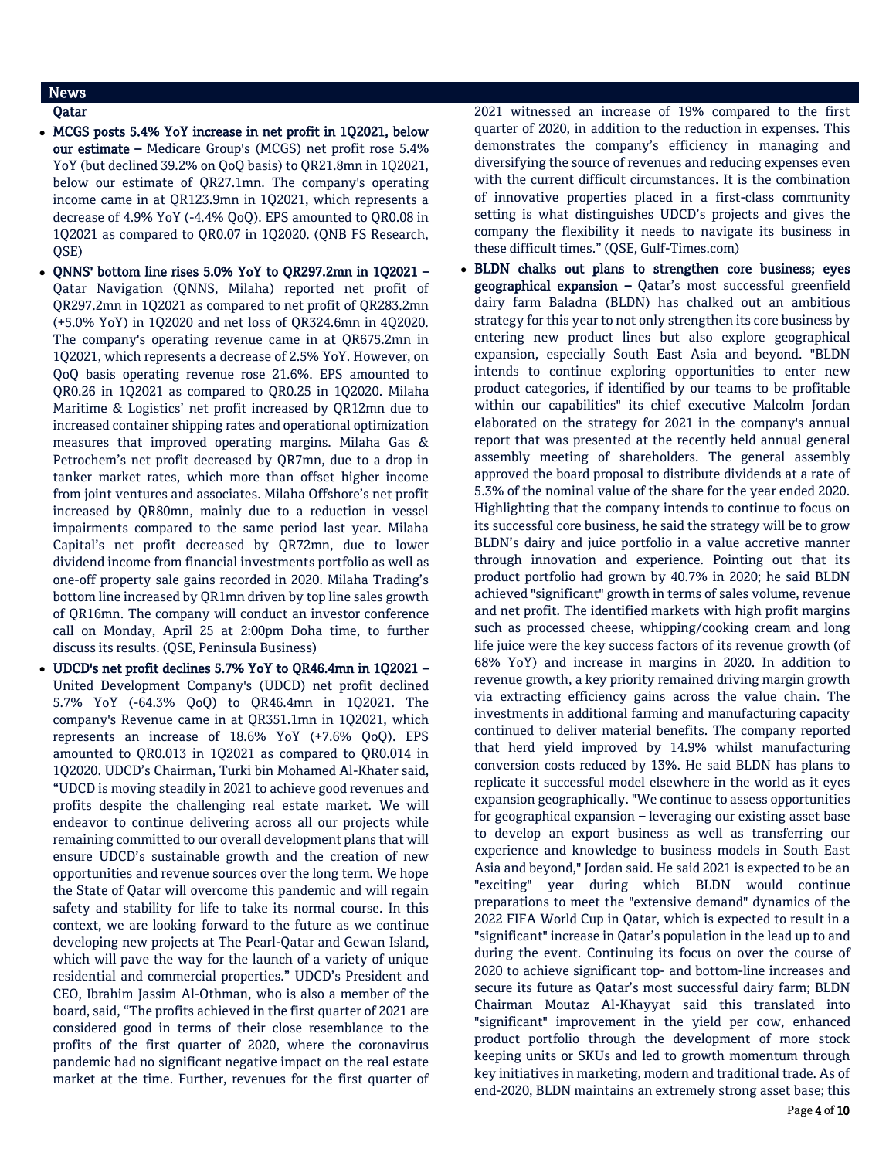# News

# Qatar

- MCGS posts 5.4% YoY increase in net profit in 1Q2021, below our estimate – Medicare Group's (MCGS) net profit rose 5.4% YoY (but declined 39.2% on QoQ basis) to QR21.8mn in 1Q2021, below our estimate of QR27.1mn. The company's operating income came in at QR123.9mn in 1Q2021, which represents a decrease of 4.9% YoY (-4.4% QoQ). EPS amounted to QR0.08 in 1Q2021 as compared to QR0.07 in 1Q2020. (QNB FS Research, QSE)
- QNNS' bottom line rises 5.0% YoY to QR297.2mn in 1Q2021 Qatar Navigation (QNNS, Milaha) reported net profit of QR297.2mn in 1Q2021 as compared to net profit of QR283.2mn (+5.0% YoY) in 1Q2020 and net loss of QR324.6mn in 4Q2020. The company's operating revenue came in at QR675.2mn in 1Q2021, which represents a decrease of 2.5% YoY. However, on QoQ basis operating revenue rose 21.6%. EPS amounted to QR0.26 in 1Q2021 as compared to QR0.25 in 1Q2020. Milaha Maritime & Logistics' net profit increased by QR12mn due to increased container shipping rates and operational optimization measures that improved operating margins. Milaha Gas & Petrochem's net profit decreased by QR7mn, due to a drop in tanker market rates, which more than offset higher income from joint ventures and associates. Milaha Offshore's net profit increased by QR80mn, mainly due to a reduction in vessel impairments compared to the same period last year. Milaha Capital's net profit decreased by QR72mn, due to lower dividend income from financial investments portfolio as well as one-off property sale gains recorded in 2020. Milaha Trading's bottom line increased by QR1mn driven by top line sales growth of QR16mn. The company will conduct an investor conference call on Monday, April 25 at 2:00pm Doha time, to further discuss its results. (QSE, Peninsula Business)
- UDCD's net profit declines 5.7% YoY to QR46.4mn in 1Q2021 United Development Company's (UDCD) net profit declined 5.7% YoY (-64.3% QoQ) to QR46.4mn in 1Q2021. The company's Revenue came in at QR351.1mn in 1Q2021, which represents an increase of 18.6% YoY (+7.6% QoQ). EPS amounted to QR0.013 in 1Q2021 as compared to QR0.014 in 1Q2020. UDCD's Chairman, Turki bin Mohamed Al-Khater said, "UDCD is moving steadily in 2021 to achieve good revenues and profits despite the challenging real estate market. We will endeavor to continue delivering across all our projects while remaining committed to our overall development plans that will ensure UDCD's sustainable growth and the creation of new opportunities and revenue sources over the long term. We hope the State of Qatar will overcome this pandemic and will regain safety and stability for life to take its normal course. In this context, we are looking forward to the future as we continue developing new projects at The Pearl-Qatar and Gewan Island, which will pave the way for the launch of a variety of unique residential and commercial properties." UDCD's President and CEO, Ibrahim Jassim Al-Othman, who is also a member of the board, said, "The profits achieved in the first quarter of 2021 are considered good in terms of their close resemblance to the profits of the first quarter of 2020, where the coronavirus pandemic had no significant negative impact on the real estate market at the time. Further, revenues for the first quarter of

2021 witnessed an increase of 19% compared to the first quarter of 2020, in addition to the reduction in expenses. This demonstrates the company's efficiency in managing and diversifying the source of revenues and reducing expenses even with the current difficult circumstances. It is the combination of innovative properties placed in a first-class community setting is what distinguishes UDCD's projects and gives the company the flexibility it needs to navigate its business in these difficult times." (QSE, Gulf-Times.com)

 BLDN chalks out plans to strengthen core business; eyes geographical expansion – Qatar's most successful greenfield dairy farm Baladna (BLDN) has chalked out an ambitious strategy for this year to not only strengthen its core business by entering new product lines but also explore geographical expansion, especially South East Asia and beyond. "BLDN intends to continue exploring opportunities to enter new product categories, if identified by our teams to be profitable within our capabilities" its chief executive Malcolm Jordan elaborated on the strategy for 2021 in the company's annual report that was presented at the recently held annual general assembly meeting of shareholders. The general assembly approved the board proposal to distribute dividends at a rate of 5.3% of the nominal value of the share for the year ended 2020. Highlighting that the company intends to continue to focus on its successful core business, he said the strategy will be to grow BLDN's dairy and juice portfolio in a value accretive manner through innovation and experience. Pointing out that its product portfolio had grown by 40.7% in 2020; he said BLDN achieved "significant" growth in terms of sales volume, revenue and net profit. The identified markets with high profit margins such as processed cheese, whipping/cooking cream and long life juice were the key success factors of its revenue growth (of 68% YoY) and increase in margins in 2020. In addition to revenue growth, a key priority remained driving margin growth via extracting efficiency gains across the value chain. The investments in additional farming and manufacturing capacity continued to deliver material benefits. The company reported that herd yield improved by 14.9% whilst manufacturing conversion costs reduced by 13%. He said BLDN has plans to replicate it successful model elsewhere in the world as it eyes expansion geographically. "We continue to assess opportunities for geographical expansion – leveraging our existing asset base to develop an export business as well as transferring our experience and knowledge to business models in South East Asia and beyond," Jordan said. He said 2021 is expected to be an "exciting" year during which BLDN would continue preparations to meet the "extensive demand" dynamics of the 2022 FIFA World Cup in Qatar, which is expected to result in a "significant" increase in Qatar's population in the lead up to and during the event. Continuing its focus on over the course of 2020 to achieve significant top- and bottom-line increases and secure its future as Qatar's most successful dairy farm; BLDN Chairman Moutaz Al-Khayyat said this translated into "significant" improvement in the yield per cow, enhanced product portfolio through the development of more stock keeping units or SKUs and led to growth momentum through key initiatives in marketing, modern and traditional trade. As of end-2020, BLDN maintains an extremely strong asset base; this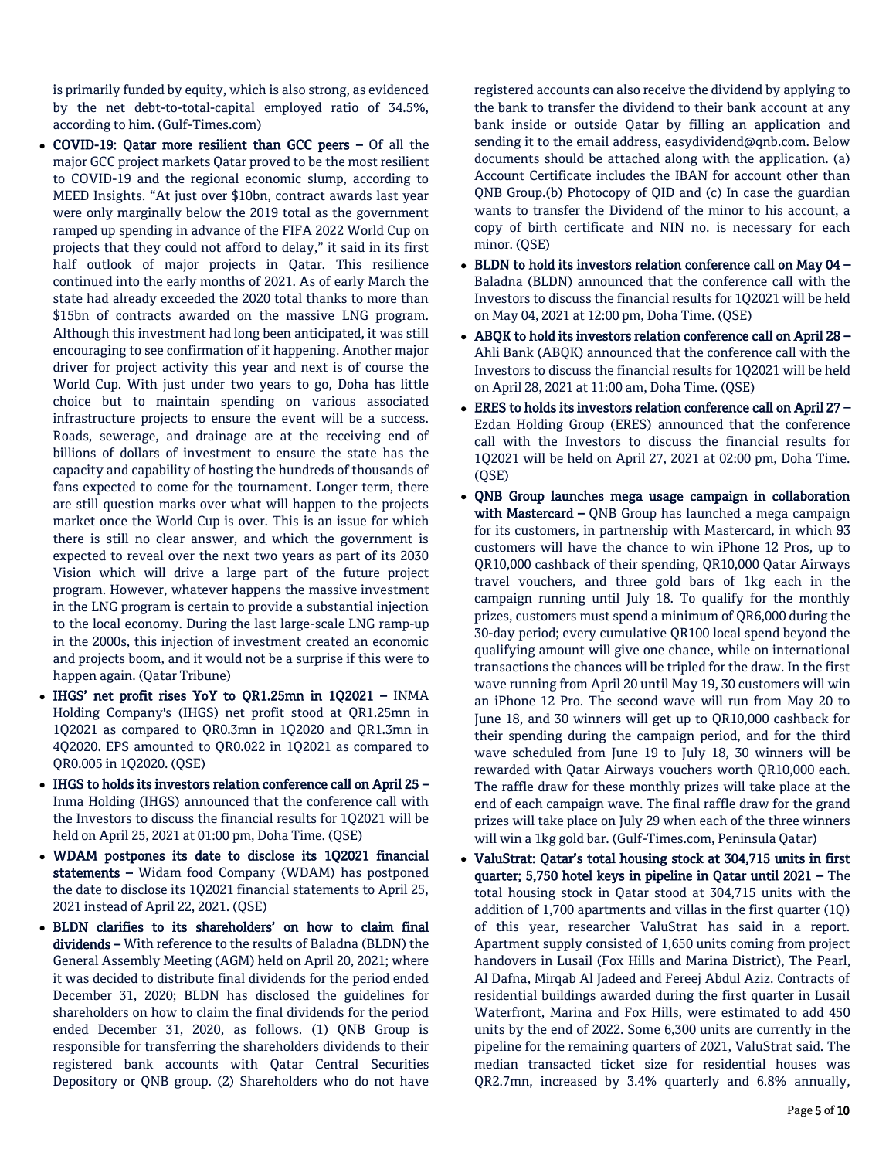is primarily funded by equity, which is also strong, as evidenced by the net debt-to-total-capital employed ratio of 34.5%, according to him. (Gulf-Times.com)

- COVID-19: Qatar more resilient than GCC peers Of all the major GCC project markets Qatar proved to be the most resilient to COVID-19 and the regional economic slump, according to MEED Insights. "At just over \$10bn, contract awards last year were only marginally below the 2019 total as the government ramped up spending in advance of the FIFA 2022 World Cup on projects that they could not afford to delay," it said in its first half outlook of major projects in Qatar. This resilience continued into the early months of 2021. As of early March the state had already exceeded the 2020 total thanks to more than \$15bn of contracts awarded on the massive LNG program. Although this investment had long been anticipated, it was still encouraging to see confirmation of it happening. Another major driver for project activity this year and next is of course the World Cup. With just under two years to go, Doha has little choice but to maintain spending on various associated infrastructure projects to ensure the event will be a success. Roads, sewerage, and drainage are at the receiving end of billions of dollars of investment to ensure the state has the capacity and capability of hosting the hundreds of thousands of fans expected to come for the tournament. Longer term, there are still question marks over what will happen to the projects market once the World Cup is over. This is an issue for which there is still no clear answer, and which the government is expected to reveal over the next two years as part of its 2030 Vision which will drive a large part of the future project program. However, whatever happens the massive investment in the LNG program is certain to provide a substantial injection to the local economy. During the last large-scale LNG ramp-up in the 2000s, this injection of investment created an economic and projects boom, and it would not be a surprise if this were to happen again. (Qatar Tribune)
- IHGS' net profit rises YoY to QR1.25mn in 1Q2021 INMA Holding Company's (IHGS) net profit stood at QR1.25mn in 1Q2021 as compared to QR0.3mn in 1Q2020 and QR1.3mn in 4Q2020. EPS amounted to QR0.022 in 1Q2021 as compared to QR0.005 in 1Q2020. (QSE)
- IHGS to holds its investors relation conference call on April 25 Inma Holding (IHGS) announced that the conference call with the Investors to discuss the financial results for 1Q2021 will be held on April 25, 2021 at 01:00 pm, Doha Time. (QSE)
- WDAM postpones its date to disclose its 1Q2021 financial statements – Widam food Company (WDAM) has postponed the date to disclose its 1Q2021 financial statements to April 25, 2021 instead of April 22, 2021. (QSE)
- BLDN clarifies to its shareholders' on how to claim final dividends – With reference to the results of Baladna (BLDN) the General Assembly Meeting (AGM) held on April 20, 2021; where it was decided to distribute final dividends for the period ended December 31, 2020; BLDN has disclosed the guidelines for shareholders on how to claim the final dividends for the period ended December 31, 2020, as follows. (1) QNB Group is responsible for transferring the shareholders dividends to their registered bank accounts with Qatar Central Securities Depository or QNB group. (2) Shareholders who do not have

registered accounts can also receive the dividend by applying to the bank to transfer the dividend to their bank account at any bank inside or outside Qatar by filling an application and sending it to the email address, easydividend@qnb.com. Below documents should be attached along with the application. (a) Account Certificate includes the IBAN for account other than QNB Group.(b) Photocopy of QID and (c) In case the guardian wants to transfer the Dividend of the minor to his account, a copy of birth certificate and NIN no. is necessary for each minor. (QSE)

- BLDN to hold its investors relation conference call on May 04 Baladna (BLDN) announced that the conference call with the Investors to discuss the financial results for 1Q2021 will be held on May 04, 2021 at 12:00 pm, Doha Time. (QSE)
- ABQK to hold its investors relation conference call on April 28 Ahli Bank (ABQK) announced that the conference call with the Investors to discuss the financial results for 1Q2021 will be held on April 28, 2021 at 11:00 am, Doha Time. (QSE)
- ERES to holds its investors relation conference call on April 27 Ezdan Holding Group (ERES) announced that the conference call with the Investors to discuss the financial results for 1Q2021 will be held on April 27, 2021 at 02:00 pm, Doha Time. (QSE)
- QNB Group launches mega usage campaign in collaboration with Mastercard - QNB Group has launched a mega campaign for its customers, in partnership with Mastercard, in which 93 customers will have the chance to win iPhone 12 Pros, up to QR10,000 cashback of their spending, QR10,000 Qatar Airways travel vouchers, and three gold bars of 1kg each in the campaign running until July 18. To qualify for the monthly prizes, customers must spend a minimum of QR6,000 during the 30-day period; every cumulative QR100 local spend beyond the qualifying amount will give one chance, while on international transactions the chances will be tripled for the draw. In the first wave running from April 20 until May 19, 30 customers will win an iPhone 12 Pro. The second wave will run from May 20 to June 18, and 30 winners will get up to QR10,000 cashback for their spending during the campaign period, and for the third wave scheduled from June 19 to July 18, 30 winners will be rewarded with Qatar Airways vouchers worth QR10,000 each. The raffle draw for these monthly prizes will take place at the end of each campaign wave. The final raffle draw for the grand prizes will take place on July 29 when each of the three winners will win a 1kg gold bar. (Gulf-Times.com, Peninsula Qatar)
- ValuStrat: Qatar's total housing stock at 304,715 units in first quarter; 5,750 hotel keys in pipeline in Qatar until 2021 – The total housing stock in Qatar stood at 304,715 units with the addition of 1,700 apartments and villas in the first quarter (1Q) of this year, researcher ValuStrat has said in a report. Apartment supply consisted of 1,650 units coming from project handovers in Lusail (Fox Hills and Marina District), The Pearl, Al Dafna, Mirqab Al Jadeed and Fereej Abdul Aziz. Contracts of residential buildings awarded during the first quarter in Lusail Waterfront, Marina and Fox Hills, were estimated to add 450 units by the end of 2022. Some 6,300 units are currently in the pipeline for the remaining quarters of 2021, ValuStrat said. The median transacted ticket size for residential houses was QR2.7mn, increased by 3.4% quarterly and 6.8% annually,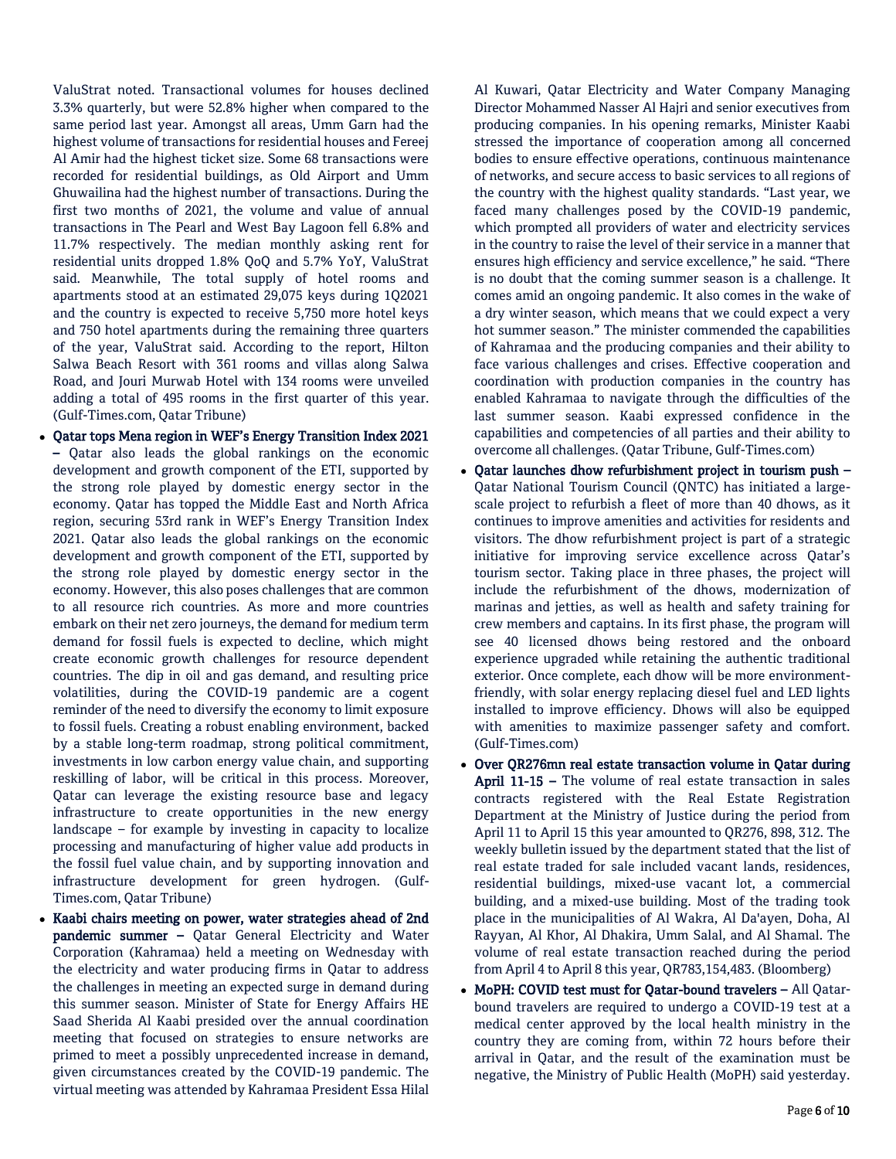ValuStrat noted. Transactional volumes for houses declined 3.3% quarterly, but were 52.8% higher when compared to the same period last year. Amongst all areas, Umm Garn had the highest volume of transactions for residential houses and Fereej Al Amir had the highest ticket size. Some 68 transactions were recorded for residential buildings, as Old Airport and Umm Ghuwailina had the highest number of transactions. During the first two months of 2021, the volume and value of annual transactions in The Pearl and West Bay Lagoon fell 6.8% and 11.7% respectively. The median monthly asking rent for residential units dropped 1.8% QoQ and 5.7% YoY, ValuStrat said. Meanwhile, The total supply of hotel rooms and apartments stood at an estimated 29,075 keys during 1Q2021 and the country is expected to receive 5,750 more hotel keys and 750 hotel apartments during the remaining three quarters of the year, ValuStrat said. According to the report, Hilton Salwa Beach Resort with 361 rooms and villas along Salwa Road, and Jouri Murwab Hotel with 134 rooms were unveiled adding a total of 495 rooms in the first quarter of this year. (Gulf-Times.com, Qatar Tribune)

- Qatar tops Mena region in WEF's Energy Transition Index 2021 – Qatar also leads the global rankings on the economic development and growth component of the ETI, supported by the strong role played by domestic energy sector in the economy. Qatar has topped the Middle East and North Africa region, securing 53rd rank in WEF's Energy Transition Index 2021. Qatar also leads the global rankings on the economic development and growth component of the ETI, supported by the strong role played by domestic energy sector in the economy. However, this also poses challenges that are common to all resource rich countries. As more and more countries embark on their net zero journeys, the demand for medium term demand for fossil fuels is expected to decline, which might create economic growth challenges for resource dependent countries. The dip in oil and gas demand, and resulting price volatilities, during the COVID-19 pandemic are a cogent reminder of the need to diversify the economy to limit exposure to fossil fuels. Creating a robust enabling environment, backed by a stable long-term roadmap, strong political commitment, investments in low carbon energy value chain, and supporting reskilling of labor, will be critical in this process. Moreover, Qatar can leverage the existing resource base and legacy infrastructure to create opportunities in the new energy landscape – for example by investing in capacity to localize processing and manufacturing of higher value add products in the fossil fuel value chain, and by supporting innovation and infrastructure development for green hydrogen. (Gulf-Times.com, Qatar Tribune)
- Kaabi chairs meeting on power, water strategies ahead of 2nd pandemic summer – Qatar General Electricity and Water Corporation (Kahramaa) held a meeting on Wednesday with the electricity and water producing firms in Qatar to address the challenges in meeting an expected surge in demand during this summer season. Minister of State for Energy Affairs HE Saad Sherida Al Kaabi presided over the annual coordination meeting that focused on strategies to ensure networks are primed to meet a possibly unprecedented increase in demand, given circumstances created by the COVID-19 pandemic. The virtual meeting was attended by Kahramaa President Essa Hilal

Al Kuwari, Qatar Electricity and Water Company Managing Director Mohammed Nasser Al Hajri and senior executives from producing companies. In his opening remarks, Minister Kaabi stressed the importance of cooperation among all concerned bodies to ensure effective operations, continuous maintenance of networks, and secure access to basic services to all regions of the country with the highest quality standards. "Last year, we faced many challenges posed by the COVID-19 pandemic, which prompted all providers of water and electricity services in the country to raise the level of their service in a manner that ensures high efficiency and service excellence," he said. "There is no doubt that the coming summer season is a challenge. It comes amid an ongoing pandemic. It also comes in the wake of a dry winter season, which means that we could expect a very hot summer season." The minister commended the capabilities of Kahramaa and the producing companies and their ability to face various challenges and crises. Effective cooperation and coordination with production companies in the country has enabled Kahramaa to navigate through the difficulties of the last summer season. Kaabi expressed confidence in the capabilities and competencies of all parties and their ability to overcome all challenges. (Qatar Tribune, Gulf-Times.com)

- Qatar launches dhow refurbishment project in tourism push Qatar National Tourism Council (QNTC) has initiated a largescale project to refurbish a fleet of more than 40 dhows, as it continues to improve amenities and activities for residents and visitors. The dhow refurbishment project is part of a strategic initiative for improving service excellence across Qatar's tourism sector. Taking place in three phases, the project will include the refurbishment of the dhows, modernization of marinas and jetties, as well as health and safety training for crew members and captains. In its first phase, the program will see 40 licensed dhows being restored and the onboard experience upgraded while retaining the authentic traditional exterior. Once complete, each dhow will be more environmentfriendly, with solar energy replacing diesel fuel and LED lights installed to improve efficiency. Dhows will also be equipped with amenities to maximize passenger safety and comfort. (Gulf-Times.com)
- Over QR276mn real estate transaction volume in Qatar during April 11-15 - The volume of real estate transaction in sales contracts registered with the Real Estate Registration Department at the Ministry of Justice during the period from April 11 to April 15 this year amounted to QR276, 898, 312. The weekly bulletin issued by the department stated that the list of real estate traded for sale included vacant lands, residences, residential buildings, mixed-use vacant lot, a commercial building, and a mixed-use building. Most of the trading took place in the municipalities of Al Wakra, Al Da'ayen, Doha, Al Rayyan, Al Khor, Al Dhakira, Umm Salal, and Al Shamal. The volume of real estate transaction reached during the period from April 4 to April 8 this year, QR783,154,483. (Bloomberg)
- MoPH: COVID test must for Qatar-bound travelers All Qatarbound travelers are required to undergo a COVID-19 test at a medical center approved by the local health ministry in the country they are coming from, within 72 hours before their arrival in Qatar, and the result of the examination must be negative, the Ministry of Public Health (MoPH) said yesterday.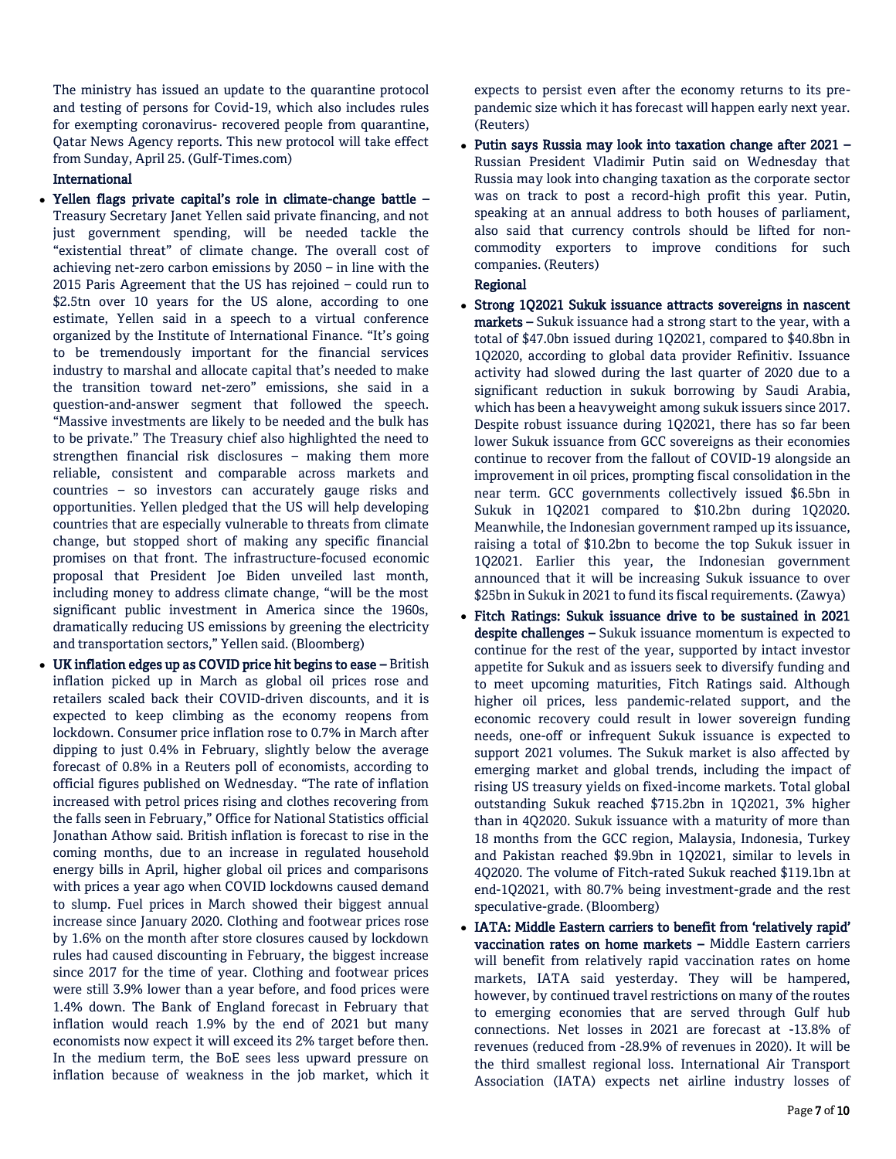The ministry has issued an update to the quarantine protocol and testing of persons for Covid-19, which also includes rules for exempting coronavirus- recovered people from quarantine, Qatar News Agency reports. This new protocol will take effect from Sunday, April 25. (Gulf-Times.com)

# International

- Yellen flags private capital's role in climate-change battle Treasury Secretary Janet Yellen said private financing, and not just government spending, will be needed tackle the "existential threat" of climate change. The overall cost of achieving net-zero carbon emissions by 2050 – in line with the 2015 Paris Agreement that the US has rejoined – could run to \$2.5tn over 10 years for the US alone, according to one estimate, Yellen said in a speech to a virtual conference organized by the Institute of International Finance. "It's going to be tremendously important for the financial services industry to marshal and allocate capital that's needed to make the transition toward net-zero" emissions, she said in a question-and-answer segment that followed the speech. "Massive investments are likely to be needed and the bulk has to be private." The Treasury chief also highlighted the need to strengthen financial risk disclosures – making them more reliable, consistent and comparable across markets and countries – so investors can accurately gauge risks and opportunities. Yellen pledged that the US will help developing countries that are especially vulnerable to threats from climate change, but stopped short of making any specific financial promises on that front. The infrastructure-focused economic proposal that President Joe Biden unveiled last month, including money to address climate change, "will be the most significant public investment in America since the 1960s, dramatically reducing US emissions by greening the electricity and transportation sectors," Yellen said. (Bloomberg)
- UK inflation edges up as COVID price hit begins to ease British inflation picked up in March as global oil prices rose and retailers scaled back their COVID-driven discounts, and it is expected to keep climbing as the economy reopens from lockdown. Consumer price inflation rose to 0.7% in March after dipping to just 0.4% in February, slightly below the average forecast of 0.8% in a Reuters poll of economists, according to official figures published on Wednesday. "The rate of inflation increased with petrol prices rising and clothes recovering from the falls seen in February," Office for National Statistics official Jonathan Athow said. British inflation is forecast to rise in the coming months, due to an increase in regulated household energy bills in April, higher global oil prices and comparisons with prices a year ago when COVID lockdowns caused demand to slump. Fuel prices in March showed their biggest annual increase since January 2020. Clothing and footwear prices rose by 1.6% on the month after store closures caused by lockdown rules had caused discounting in February, the biggest increase since 2017 for the time of year. Clothing and footwear prices were still 3.9% lower than a year before, and food prices were 1.4% down. The Bank of England forecast in February that inflation would reach 1.9% by the end of 2021 but many economists now expect it will exceed its 2% target before then. In the medium term, the BoE sees less upward pressure on inflation because of weakness in the job market, which it

expects to persist even after the economy returns to its prepandemic size which it has forecast will happen early next year. (Reuters)

 Putin says Russia may look into taxation change after 2021 – Russian President Vladimir Putin said on Wednesday that Russia may look into changing taxation as the corporate sector was on track to post a record-high profit this year. Putin, speaking at an annual address to both houses of parliament, also said that currency controls should be lifted for noncommodity exporters to improve conditions for such companies. (Reuters)

### Regional

- Strong 1Q2021 Sukuk issuance attracts sovereigns in nascent markets – Sukuk issuance had a strong start to the year, with a total of \$47.0bn issued during 1Q2021, compared to \$40.8bn in 1Q2020, according to global data provider Refinitiv. Issuance activity had slowed during the last quarter of 2020 due to a significant reduction in sukuk borrowing by Saudi Arabia, which has been a heavyweight among sukuk issuers since 2017. Despite robust issuance during 1Q2021, there has so far been lower Sukuk issuance from GCC sovereigns as their economies continue to recover from the fallout of COVID-19 alongside an improvement in oil prices, prompting fiscal consolidation in the near term. GCC governments collectively issued \$6.5bn in Sukuk in 1Q2021 compared to \$10.2bn during 1Q2020. Meanwhile, the Indonesian government ramped up its issuance, raising a total of \$10.2bn to become the top Sukuk issuer in 1Q2021. Earlier this year, the Indonesian government announced that it will be increasing Sukuk issuance to over \$25bn in Sukuk in 2021 to fund its fiscal requirements. (Zawya)
- Fitch Ratings: Sukuk issuance drive to be sustained in 2021 despite challenges – Sukuk issuance momentum is expected to continue for the rest of the year, supported by intact investor appetite for Sukuk and as issuers seek to diversify funding and to meet upcoming maturities, Fitch Ratings said. Although higher oil prices, less pandemic-related support, and the economic recovery could result in lower sovereign funding needs, one-off or infrequent Sukuk issuance is expected to support 2021 volumes. The Sukuk market is also affected by emerging market and global trends, including the impact of rising US treasury yields on fixed-income markets. Total global outstanding Sukuk reached \$715.2bn in 1Q2021, 3% higher than in 4Q2020. Sukuk issuance with a maturity of more than 18 months from the GCC region, Malaysia, Indonesia, Turkey and Pakistan reached \$9.9bn in 1Q2021, similar to levels in 4Q2020. The volume of Fitch-rated Sukuk reached \$119.1bn at end-1Q2021, with 80.7% being investment-grade and the rest speculative-grade. (Bloomberg)
- IATA: Middle Eastern carriers to benefit from 'relatively rapid' vaccination rates on home markets – Middle Eastern carriers will benefit from relatively rapid vaccination rates on home markets, IATA said yesterday. They will be hampered, however, by continued travel restrictions on many of the routes to emerging economies that are served through Gulf hub connections. Net losses in 2021 are forecast at -13.8% of revenues (reduced from -28.9% of revenues in 2020). It will be the third smallest regional loss. International Air Transport Association (IATA) expects net airline industry losses of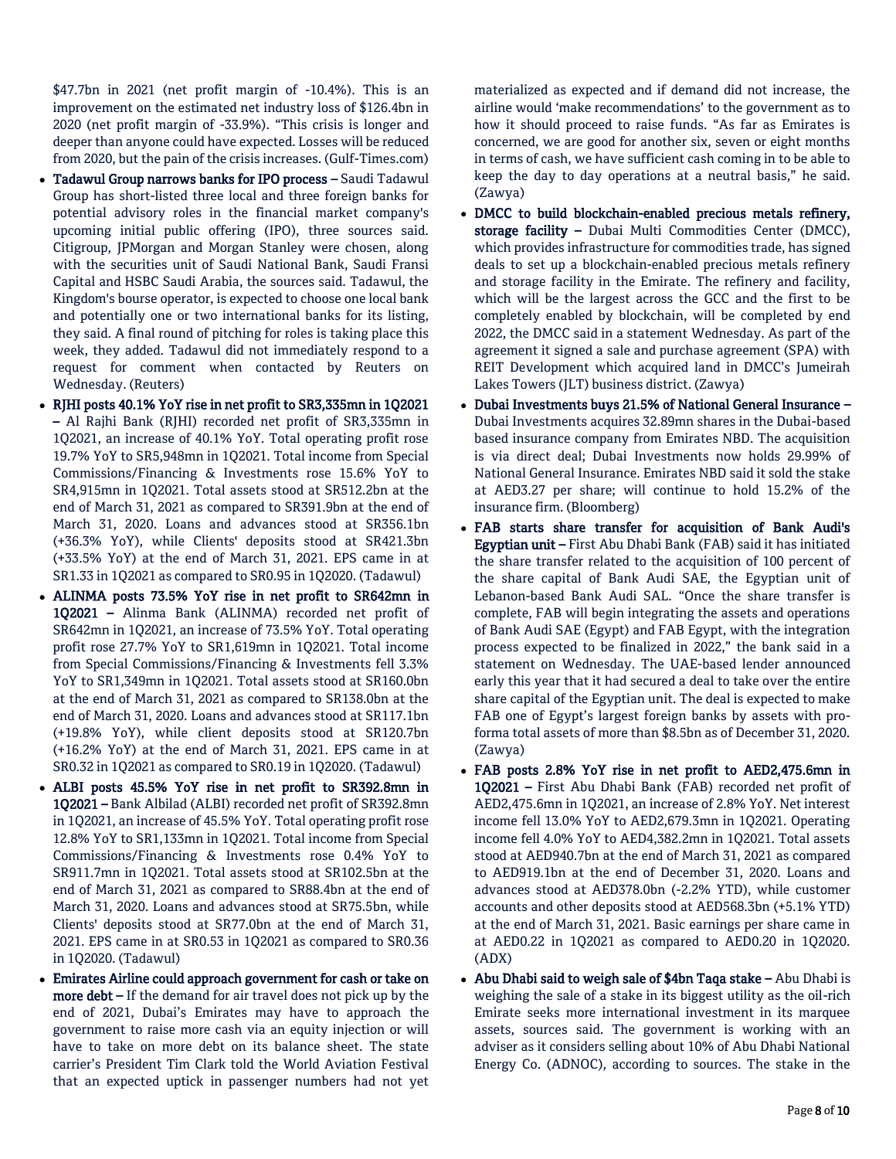\$47.7bn in 2021 (net profit margin of -10.4%). This is an improvement on the estimated net industry loss of \$126.4bn in 2020 (net profit margin of -33.9%). "This crisis is longer and deeper than anyone could have expected. Losses will be reduced from 2020, but the pain of the crisis increases. (Gulf-Times.com)

- Tadawul Group narrows banks for IPO process Saudi Tadawul Group has short-listed three local and three foreign banks for potential advisory roles in the financial market company's upcoming initial public offering (IPO), three sources said. Citigroup, JPMorgan and Morgan Stanley were chosen, along with the securities unit of Saudi National Bank, Saudi Fransi Capital and HSBC Saudi Arabia, the sources said. Tadawul, the Kingdom's bourse operator, is expected to choose one local bank and potentially one or two international banks for its listing, they said. A final round of pitching for roles is taking place this week, they added. Tadawul did not immediately respond to a request for comment when contacted by Reuters on Wednesday. (Reuters)
- RJHI posts 40.1% YoY rise in net profit to SR3,335mn in 1Q2021 – Al Rajhi Bank (RJHI) recorded net profit of SR3,335mn in 1Q2021, an increase of 40.1% YoY. Total operating profit rose 19.7% YoY to SR5,948mn in 1Q2021. Total income from Special Commissions/Financing & Investments rose 15.6% YoY to SR4,915mn in 1Q2021. Total assets stood at SR512.2bn at the end of March 31, 2021 as compared to SR391.9bn at the end of March 31, 2020. Loans and advances stood at SR356.1bn (+36.3% YoY), while Clients' deposits stood at SR421.3bn (+33.5% YoY) at the end of March 31, 2021. EPS came in at SR1.33 in 1Q2021 as compared to SR0.95 in 1Q2020. (Tadawul)
- ALINMA posts 73.5% YoY rise in net profit to SR642mn in 1Q2021 – Alinma Bank (ALINMA) recorded net profit of SR642mn in 1Q2021, an increase of 73.5% YoY. Total operating profit rose 27.7% YoY to SR1,619mn in 1Q2021. Total income from Special Commissions/Financing & Investments fell 3.3% YoY to SR1,349mn in 1Q2021. Total assets stood at SR160.0bn at the end of March 31, 2021 as compared to SR138.0bn at the end of March 31, 2020. Loans and advances stood at SR117.1bn (+19.8% YoY), while client deposits stood at SR120.7bn (+16.2% YoY) at the end of March 31, 2021. EPS came in at SR0.32 in 1Q2021 as compared to SR0.19 in 1Q2020. (Tadawul)
- ALBI posts 45.5% YoY rise in net profit to SR392.8mn in 1Q2021 – Bank Albilad (ALBI) recorded net profit of SR392.8mn in 1Q2021, an increase of 45.5% YoY. Total operating profit rose 12.8% YoY to SR1,133mn in 1Q2021. Total income from Special Commissions/Financing & Investments rose 0.4% YoY to SR911.7mn in 1Q2021. Total assets stood at SR102.5bn at the end of March 31, 2021 as compared to SR88.4bn at the end of March 31, 2020. Loans and advances stood at SR75.5bn, while Clients' deposits stood at SR77.0bn at the end of March 31, 2021. EPS came in at SR0.53 in 1Q2021 as compared to SR0.36 in 1Q2020. (Tadawul)
- Emirates Airline could approach government for cash or take on more debt – If the demand for air travel does not pick up by the end of 2021, Dubai's Emirates may have to approach the government to raise more cash via an equity injection or will have to take on more debt on its balance sheet. The state carrier's President Tim Clark told the World Aviation Festival that an expected uptick in passenger numbers had not yet

materialized as expected and if demand did not increase, the airline would 'make recommendations' to the government as to how it should proceed to raise funds. "As far as Emirates is concerned, we are good for another six, seven or eight months in terms of cash, we have sufficient cash coming in to be able to keep the day to day operations at a neutral basis," he said. (Zawya)

- DMCC to build blockchain-enabled precious metals refinery, storage facility - Dubai Multi Commodities Center (DMCC), which provides infrastructure for commodities trade, has signed deals to set up a blockchain-enabled precious metals refinery and storage facility in the Emirate. The refinery and facility, which will be the largest across the GCC and the first to be completely enabled by blockchain, will be completed by end 2022, the DMCC said in a statement Wednesday. As part of the agreement it signed a sale and purchase agreement (SPA) with REIT Development which acquired land in DMCC's Jumeirah Lakes Towers (JLT) business district. (Zawya)
- Dubai Investments buys 21.5% of National General Insurance Dubai Investments acquires 32.89mn shares in the Dubai-based based insurance company from Emirates NBD. The acquisition is via direct deal; Dubai Investments now holds 29.99% of National General Insurance. Emirates NBD said it sold the stake at AED3.27 per share; will continue to hold 15.2% of the insurance firm. (Bloomberg)
- FAB starts share transfer for acquisition of Bank Audi's Egyptian unit – First Abu Dhabi Bank (FAB) said it has initiated the share transfer related to the acquisition of 100 percent of the share capital of Bank Audi SAE, the Egyptian unit of Lebanon-based Bank Audi SAL. "Once the share transfer is complete, FAB will begin integrating the assets and operations of Bank Audi SAE (Egypt) and FAB Egypt, with the integration process expected to be finalized in 2022," the bank said in a statement on Wednesday. The UAE-based lender announced early this year that it had secured a deal to take over the entire share capital of the Egyptian unit. The deal is expected to make FAB one of Egypt's largest foreign banks by assets with proforma total assets of more than \$8.5bn as of December 31, 2020. (Zawya)
- FAB posts 2.8% YoY rise in net profit to AED2,475.6mn in 1Q2021 – First Abu Dhabi Bank (FAB) recorded net profit of AED2,475.6mn in 1Q2021, an increase of 2.8% YoY. Net interest income fell 13.0% YoY to AED2,679.3mn in 1Q2021. Operating income fell 4.0% YoY to AED4,382.2mn in 1Q2021. Total assets stood at AED940.7bn at the end of March 31, 2021 as compared to AED919.1bn at the end of December 31, 2020. Loans and advances stood at AED378.0bn (-2.2% YTD), while customer accounts and other deposits stood at AED568.3bn (+5.1% YTD) at the end of March 31, 2021. Basic earnings per share came in at AED0.22 in 1Q2021 as compared to AED0.20 in 1Q2020. (ADX)
- Abu Dhabi said to weigh sale of \$4bn Taqa stake Abu Dhabi is weighing the sale of a stake in its biggest utility as the oil-rich Emirate seeks more international investment in its marquee assets, sources said. The government is working with an adviser as it considers selling about 10% of Abu Dhabi National Energy Co. (ADNOC), according to sources. The stake in the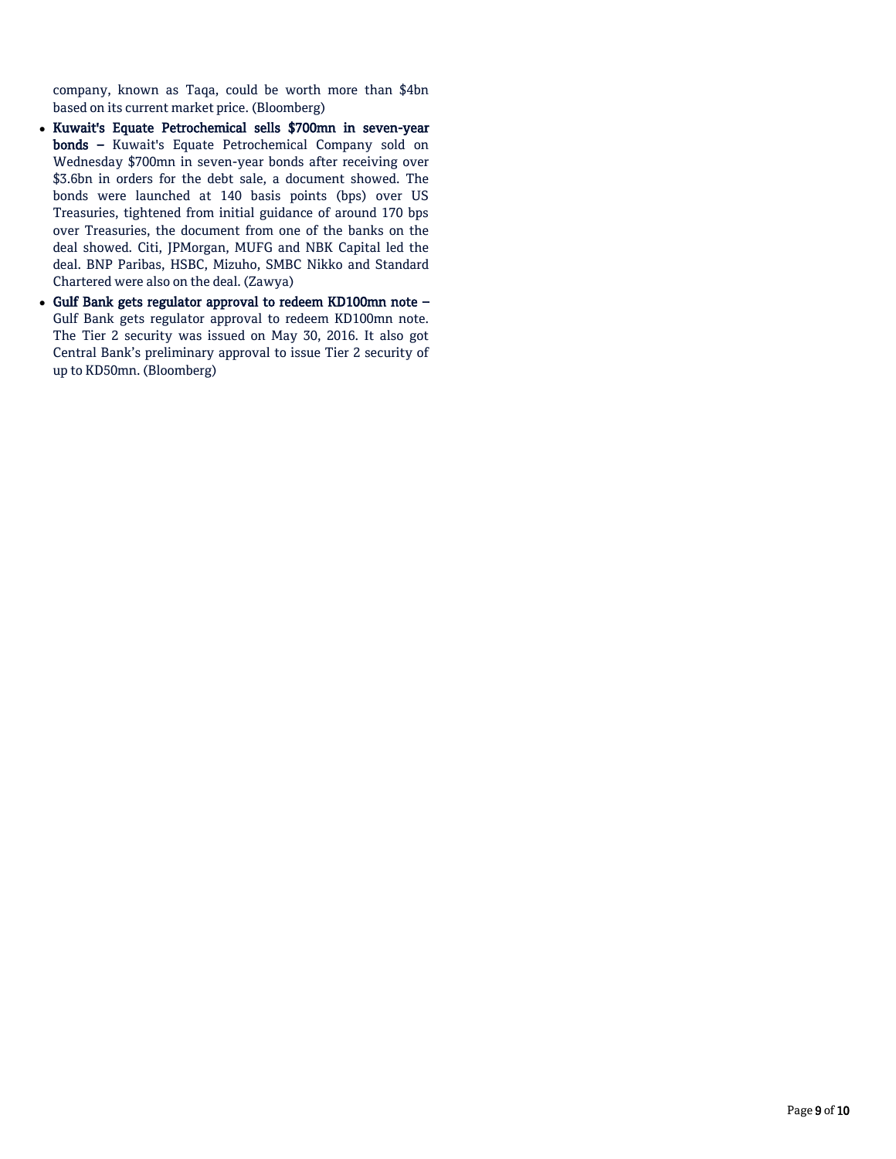company, known as Taqa, could be worth more than \$4bn based on its current market price. (Bloomberg)

- Kuwait's Equate Petrochemical sells \$700mn in seven-year bonds – Kuwait's Equate Petrochemical Company sold on Wednesday \$700mn in seven-year bonds after receiving over \$3.6bn in orders for the debt sale, a document showed. The bonds were launched at 140 basis points (bps) over US Treasuries, tightened from initial guidance of around 170 bps over Treasuries, the document from one of the banks on the deal showed. Citi, JPMorgan, MUFG and NBK Capital led the deal. BNP Paribas, HSBC, Mizuho, SMBC Nikko and Standard Chartered were also on the deal. (Zawya)
- Gulf Bank gets regulator approval to redeem KD100mn note Gulf Bank gets regulator approval to redeem KD100mn note. The Tier 2 security was issued on May 30, 2016. It also got Central Bank's preliminary approval to issue Tier 2 security of up to KD50mn. (Bloomberg)